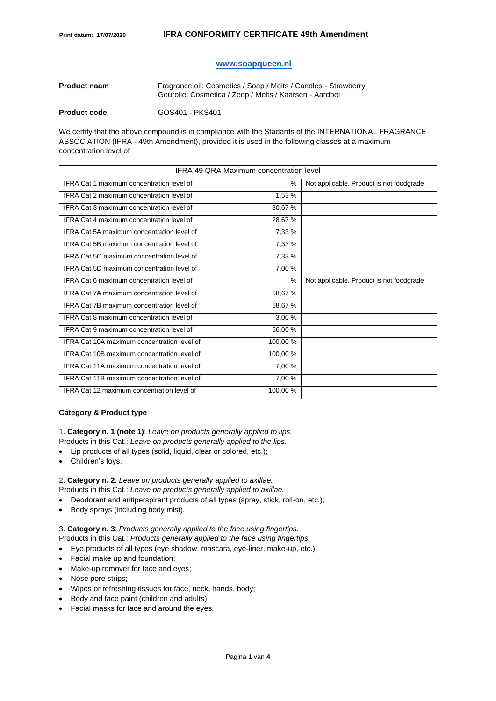## **[www.soapqueen.nl](http://www.soapqueen.nl/)**

| <b>Product naam</b> | Fragrance oil: Cosmetics / Soap / Melts / Candles - Strawberry<br>Geurolie: Cosmetica / Zeep / Melts / Kaarsen - Aardbei |
|---------------------|--------------------------------------------------------------------------------------------------------------------------|
| <b>Product code</b> | GOS401 - PKS401                                                                                                          |

We certify that the above compound is in compliance with the Stadards of the INTERNATIONAL FRAGRANCE ASSOCIATION (IFRA - 49th Amendment), provided it is used in the following classes at a maximum concentration level of

| <b>IFRA 49 QRA Maximum concentration level</b>    |               |                                          |  |
|---------------------------------------------------|---------------|------------------------------------------|--|
| IFRA Cat 1 maximum concentration level of         | $\frac{0}{0}$ | Not applicable. Product is not foodgrade |  |
| IFRA Cat 2 maximum concentration level of         | 1,53 %        |                                          |  |
| IFRA Cat 3 maximum concentration level of         | 30,67 %       |                                          |  |
| IFRA Cat 4 maximum concentration level of         | 28,67%        |                                          |  |
| IFRA Cat 5A maximum concentration level of        | 7,33 %        |                                          |  |
| IFRA Cat 5B maximum concentration level of        | 7,33 %        |                                          |  |
| IFRA Cat 5C maximum concentration level of        | 7,33 %        |                                          |  |
| IFRA Cat 5D maximum concentration level of        | 7,00 %        |                                          |  |
| IFRA Cat 6 maximum concentration level of         | $\frac{0}{0}$ | Not applicable. Product is not foodgrade |  |
| IFRA Cat 7A maximum concentration level of        | 58,67 %       |                                          |  |
| <b>IFRA Cat 7B maximum concentration level of</b> | 58,67 %       |                                          |  |
| IFRA Cat 8 maximum concentration level of         | 3,00 %        |                                          |  |
| IFRA Cat 9 maximum concentration level of         | 56,00 %       |                                          |  |
| IFRA Cat 10A maximum concentration level of       | 100,00%       |                                          |  |
| IFRA Cat 10B maximum concentration level of       | 100,00%       |                                          |  |
| IFRA Cat 11A maximum concentration level of       | 7,00 %        |                                          |  |
| IFRA Cat 11B maximum concentration level of       | 7,00 %        |                                          |  |
| IFRA Cat 12 maximum concentration level of        | 100,00%       |                                          |  |

## **Category & Product type**

1. **Category n. 1 (note 1)**: *Leave on products generally applied to lips.*

Products in this Cat.: *Leave on products generally applied to the lips.*

- Lip products of all types (solid, liquid, clear or colored, etc.);
- Children's toys.

2. **Category n. 2**: *Leave on products generally applied to axillae.* Products in this Cat.: *Leave on products generally applied to axillae.*

- Deodorant and antiperspirant products of all types (spray, stick, roll-on, etc.);
- Body sprays (including body mist).

# 3. **Category n. 3**: *Products generally applied to the face using fingertips.*  Products in this Cat.: *Products generally applied to the face using fingertips.*

- Eye products of all types (eye shadow, mascara, eye-liner, make-up, etc.);
- Facial make up and foundation;
- Make-up remover for face and eyes;
- Nose pore strips;
- Wipes or refreshing tissues for face, neck, hands, body;
- Body and face paint (children and adults);
- Facial masks for face and around the eyes.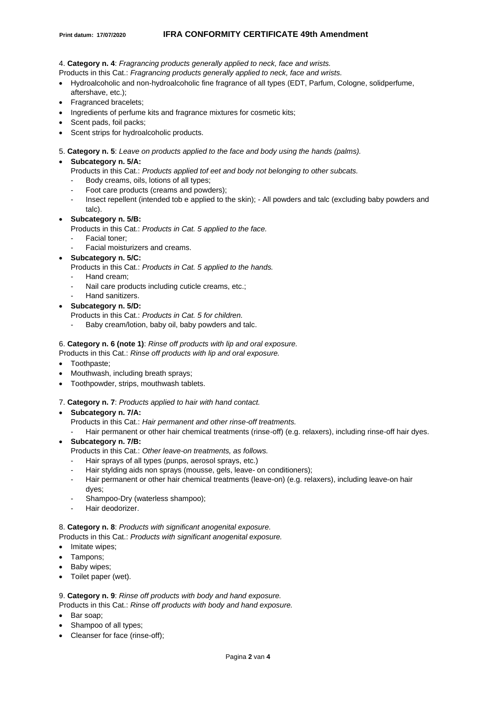## **Print datum: 17/07/2020 IFRA CONFORMITY CERTIFICATE 49th Amendment**

4. **Category n. 4**: *Fragrancing products generally applied to neck, face and wrists.*

Products in this Cat.: *Fragrancing products generally applied to neck, face and wrists.*

- Hydroalcoholic and non-hydroalcoholic fine fragrance of all types (EDT, Parfum, Cologne, solidperfume, aftershave, etc.);
- Fragranced bracelets;
- Ingredients of perfume kits and fragrance mixtures for cosmetic kits:
- Scent pads, foil packs:
- Scent strips for hydroalcoholic products.
- 5. **Category n. 5**: *Leave on products applied to the face and body using the hands (palms).*

# • **Subcategory n. 5/A:**

- Products in this Cat.: *Products applied tof eet and body not belonging to other subcats.*
- Body creams, oils, lotions of all types:
- Foot care products (creams and powders);
- Insect repellent (intended tob e applied to the skin); All powders and talc (excluding baby powders and talc).

# • **Subcategory n. 5/B:**

- Products in this Cat.: *Products in Cat. 5 applied to the face.*
- Facial toner:
- Facial moisturizers and creams.

• **Subcategory n. 5/C:**

Products in this Cat.: *Products in Cat. 5 applied to the hands.* 

- Hand cream:
- Nail care products including cuticle creams, etc.;
- Hand sanitizers.
- **Subcategory n. 5/D:**
	- Products in this Cat.: *Products in Cat. 5 for children.*
	- Baby cream/lotion, baby oil, baby powders and talc.
- 6. **Category n. 6 (note 1)**: *Rinse off products with lip and oral exposure.*

Products in this Cat.: *Rinse off products with lip and oral exposure.*

- Toothpaste;
- Mouthwash, including breath sprays;
- Toothpowder, strips, mouthwash tablets.

## 7. **Category n. 7**: *Products applied to hair with hand contact.*

- **Subcategory n. 7/A:**
	- Products in this Cat.: *Hair permanent and other rinse-off treatments.*
	- Hair permanent or other hair chemical treatments (rinse-off) (e.g. relaxers), including rinse-off hair dyes.
- **Subcategory n. 7/B:**
	- Products in this Cat.: *Other leave-on treatments, as follows.*
	- Hair sprays of all types (punps, aerosol sprays, etc.)
	- Hair stylding aids non sprays (mousse, gels, leave- on conditioners);
	- Hair permanent or other hair chemical treatments (leave-on) (e.g. relaxers), including leave-on hair dyes;
	- Shampoo-Dry (waterless shampoo);
	- Hair deodorizer.

## 8. **Category n. 8**: *Products with significant anogenital exposure.*

Products in this Cat.: *Products with significant anogenital exposure.*

- Imitate wipes:
- Tampons;
- Baby wipes;
- Toilet paper (wet).

# 9. **Category n. 9**: *Rinse off products with body and hand exposure.*

Products in this Cat.: *Rinse off products with body and hand exposure.*

- Bar soap;
- Shampoo of all types;
- Cleanser for face (rinse-off);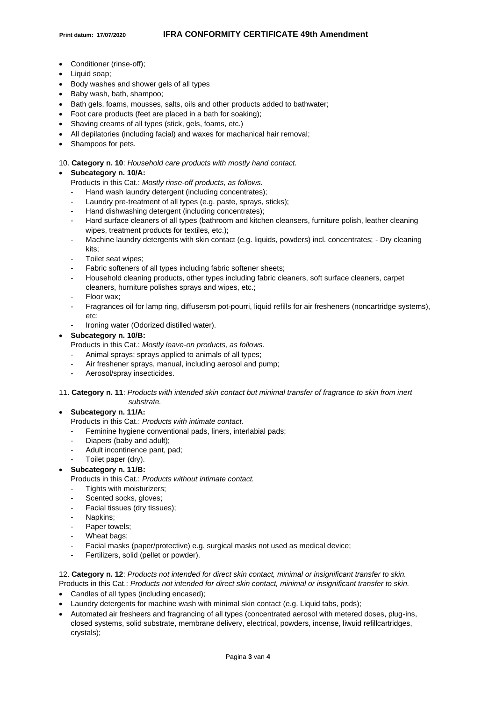- Conditioner (rinse-off);
- Liquid soap;
- Body washes and shower gels of all types
- Baby wash, bath, shampoo;
- Bath gels, foams, mousses, salts, oils and other products added to bathwater;
- Foot care products (feet are placed in a bath for soaking);
- Shaving creams of all types (stick, gels, foams, etc.)
- All depilatories (including facial) and waxes for machanical hair removal;
- Shampoos for pets.
- 10. **Category n. 10**: *Household care products with mostly hand contact.*

# • **Subcategory n. 10/A:**

- Products in this Cat.: *Mostly rinse-off products, as follows.*
- Hand wash laundry detergent (including concentrates);
- Laundry pre-treatment of all types (e.g. paste, sprays, sticks);
- Hand dishwashing detergent (including concentrates);
- Hard surface cleaners of all types (bathroom and kitchen cleansers, furniture polish, leather cleaning wipes, treatment products for textiles, etc.);
- Machine laundry detergents with skin contact (e.g. liquids, powders) incl. concentrates; Dry cleaning kits;
- Toilet seat wipes;
- Fabric softeners of all types including fabric softener sheets;
- Household cleaning products, other types including fabric cleaners, soft surface cleaners, carpet cleaners, hurniture polishes sprays and wipes, etc.;
- Floor wax;
- Fragrances oil for lamp ring, diffusersm pot-pourri, liquid refills for air fresheners (noncartridge systems), etc;
- Ironing water (Odorized distilled water).

# • **Subcategory n. 10/B:**

- Products in this Cat.: *Mostly leave-on products, as follows.*
- Animal sprays: sprays applied to animals of all types;
- Air freshener sprays, manual, including aerosol and pump;
- Aerosol/spray insecticides.
- 11. **Category n. 11**: *Products with intended skin contact but minimal transfer of fragrance to skin from inert substrate.*

# • **Subcategory n. 11/A:**

- Products in this Cat.: *Products with intimate contact.*
- Feminine hygiene conventional pads, liners, interlabial pads;
- Diapers (baby and adult);
- Adult incontinence pant, pad;
- Toilet paper (dry).
- **Subcategory n. 11/B:**
	- Products in this Cat.: *Products without intimate contact.*
	- Tights with moisturizers:
	- Scented socks, gloves;
	- Facial tissues (dry tissues);
	- Napkins:
	- Paper towels;
	- Wheat bags:
	- Facial masks (paper/protective) e.g. surgical masks not used as medical device;
	- Fertilizers, solid (pellet or powder).

# 12. **Category n. 12**: *Products not intended for direct skin contact, minimal or insignificant transfer to skin.*

- Products in this Cat.: *Products not intended for direct skin contact, minimal or insignificant transfer to skin.*
- Candles of all types (including encased);
- Laundry detergents for machine wash with minimal skin contact (e.g. Liquid tabs, pods);
- Automated air fresheers and fragrancing of all types (concentrated aerosol with metered doses, plug-ins, closed systems, solid substrate, membrane delivery, electrical, powders, incense, liwuid refillcartridges, crystals);